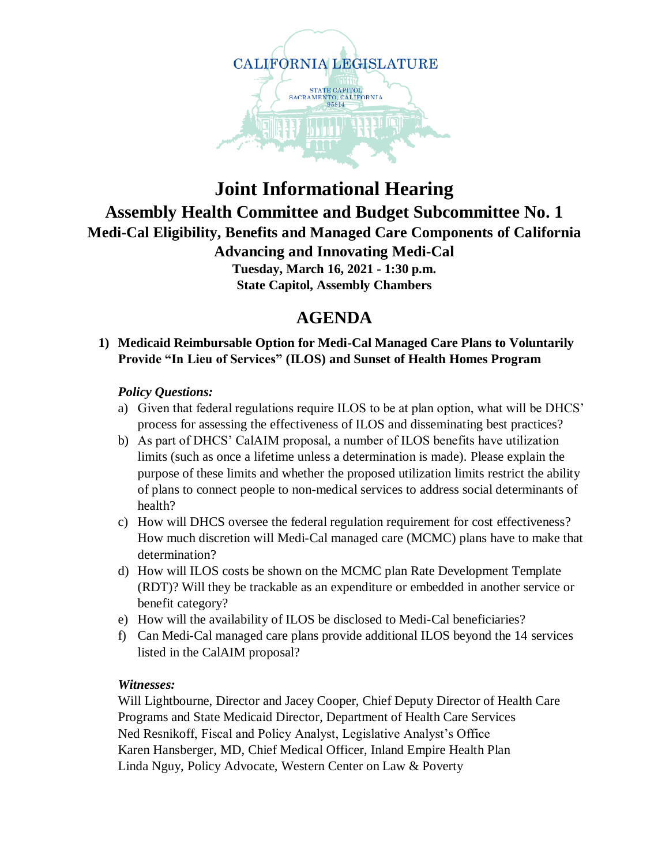

# **Joint Informational Hearing Assembly Health Committee and Budget Subcommittee No. 1 Medi-Cal Eligibility, Benefits and Managed Care Components of California Advancing and Innovating Medi-Cal Tuesday, March 16, 2021 - 1:30 p.m.**

**State Capitol, Assembly Chambers**

# **AGENDA**

# **1) Medicaid Reimbursable Option for Medi-Cal Managed Care Plans to Voluntarily Provide "In Lieu of Services" (ILOS) and Sunset of Health Homes Program**

## *Policy Questions:*

- a) Given that federal regulations require ILOS to be at plan option, what will be DHCS' process for assessing the effectiveness of ILOS and disseminating best practices?
- b) As part of DHCS' CalAIM proposal, a number of ILOS benefits have utilization limits (such as once a lifetime unless a determination is made). Please explain the purpose of these limits and whether the proposed utilization limits restrict the ability of plans to connect people to non-medical services to address social determinants of health?
- c) How will DHCS oversee the federal regulation requirement for cost effectiveness? How much discretion will Medi-Cal managed care (MCMC) plans have to make that determination?
- d) How will ILOS costs be shown on the MCMC plan Rate Development Template (RDT)? Will they be trackable as an expenditure or embedded in another service or benefit category?
- e) How will the availability of ILOS be disclosed to Medi-Cal beneficiaries?
- f) Can Medi-Cal managed care plans provide additional ILOS beyond the 14 services listed in the CalAIM proposal?

#### *Witnesses:*

Will Lightbourne, Director and Jacey Cooper, Chief Deputy Director of Health Care Programs and State Medicaid Director, Department of Health Care Services Ned Resnikoff, Fiscal and Policy Analyst, Legislative Analyst's Office Karen Hansberger, MD, Chief Medical Officer, Inland Empire Health Plan Linda Nguy, Policy Advocate, Western Center on Law & Poverty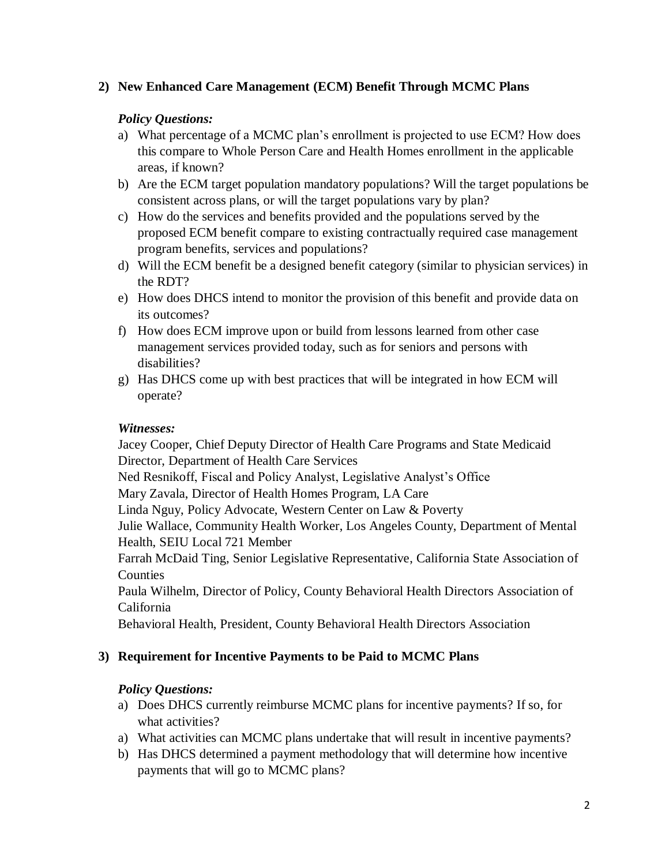## **2) New Enhanced Care Management (ECM) Benefit Through MCMC Plans**

## *Policy Questions:*

- a) What percentage of a MCMC plan's enrollment is projected to use ECM? How does this compare to Whole Person Care and Health Homes enrollment in the applicable areas, if known?
- b) Are the ECM target population mandatory populations? Will the target populations be consistent across plans, or will the target populations vary by plan?
- c) How do the services and benefits provided and the populations served by the proposed ECM benefit compare to existing contractually required case management program benefits, services and populations?
- d) Will the ECM benefit be a designed benefit category (similar to physician services) in the RDT?
- e) How does DHCS intend to monitor the provision of this benefit and provide data on its outcomes?
- f) How does ECM improve upon or build from lessons learned from other case management services provided today, such as for seniors and persons with disabilities?
- g) Has DHCS come up with best practices that will be integrated in how ECM will operate?

#### *Witnesses:*

Jacey Cooper, Chief Deputy Director of Health Care Programs and State Medicaid Director, Department of Health Care Services

Ned Resnikoff, Fiscal and Policy Analyst, Legislative Analyst's Office

Mary Zavala, Director of Health Homes Program, LA Care

Linda Nguy, Policy Advocate, Western Center on Law & Poverty

Julie Wallace, Community Health Worker, Los Angeles County, Department of Mental Health, SEIU Local 721 Member

Farrah McDaid Ting, Senior Legislative Representative, California State Association of Counties

Paula Wilhelm, Director of Policy, County Behavioral Health Directors Association of California

Behavioral Health, President, County Behavioral Health Directors Association

#### **3) Requirement for Incentive Payments to be Paid to MCMC Plans**

#### *Policy Questions:*

- a) Does DHCS currently reimburse MCMC plans for incentive payments? If so, for what activities?
- a) What activities can MCMC plans undertake that will result in incentive payments?
- b) Has DHCS determined a payment methodology that will determine how incentive payments that will go to MCMC plans?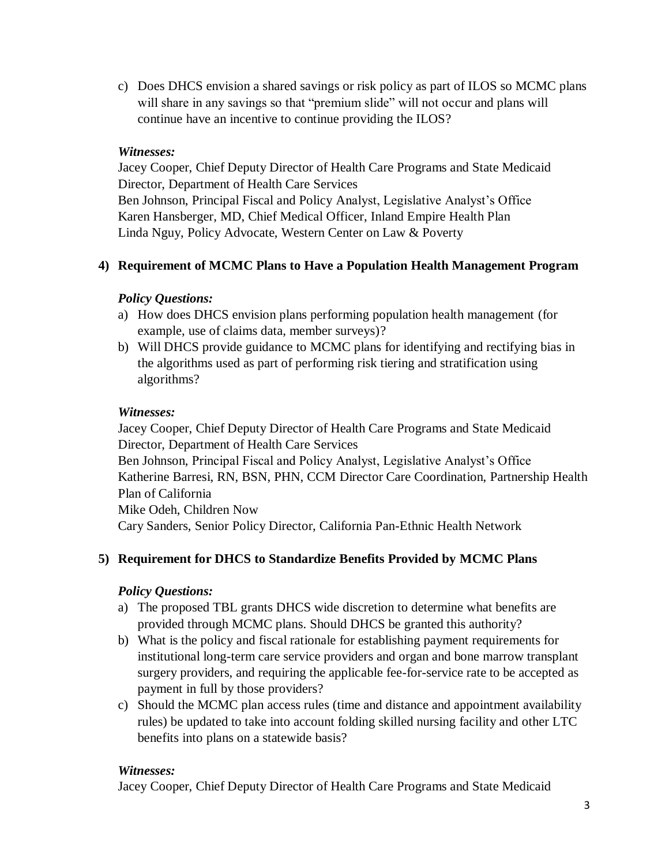c) Does DHCS envision a shared savings or risk policy as part of ILOS so MCMC plans will share in any savings so that "premium slide" will not occur and plans will continue have an incentive to continue providing the ILOS?

## *Witnesses:*

Jacey Cooper, Chief Deputy Director of Health Care Programs and State Medicaid Director, Department of Health Care Services Ben Johnson, Principal Fiscal and Policy Analyst, Legislative Analyst's Office Karen Hansberger, MD, Chief Medical Officer, Inland Empire Health Plan Linda Nguy, Policy Advocate, Western Center on Law & Poverty

# **4) Requirement of MCMC Plans to Have a Population Health Management Program**

## *Policy Questions:*

- a) How does DHCS envision plans performing population health management (for example, use of claims data, member surveys)?
- b) Will DHCS provide guidance to MCMC plans for identifying and rectifying bias in the algorithms used as part of performing risk tiering and stratification using algorithms?

## *Witnesses:*

Jacey Cooper, Chief Deputy Director of Health Care Programs and State Medicaid Director, Department of Health Care Services Ben Johnson, Principal Fiscal and Policy Analyst, Legislative Analyst's Office Katherine Barresi, RN, BSN, PHN, CCM Director Care Coordination, Partnership Health Plan of California Mike Odeh, Children Now

Cary Sanders, Senior Policy Director, California Pan-Ethnic Health Network

# **5) Requirement for DHCS to Standardize Benefits Provided by MCMC Plans**

#### *Policy Questions:*

- a) The proposed TBL grants DHCS wide discretion to determine what benefits are provided through MCMC plans. Should DHCS be granted this authority?
- b) What is the policy and fiscal rationale for establishing payment requirements for institutional long-term care service providers and organ and bone marrow transplant surgery providers, and requiring the applicable fee-for-service rate to be accepted as payment in full by those providers?
- c) Should the MCMC plan access rules (time and distance and appointment availability rules) be updated to take into account folding skilled nursing facility and other LTC benefits into plans on a statewide basis?

# *Witnesses:*

Jacey Cooper, Chief Deputy Director of Health Care Programs and State Medicaid